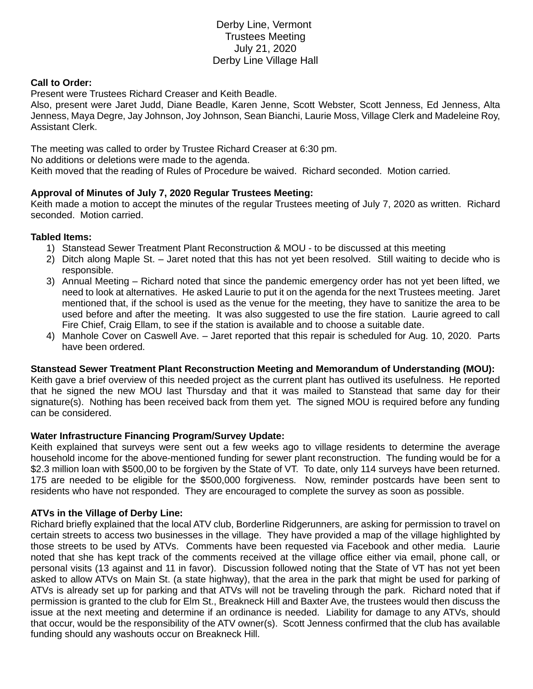# Derby Line, Vermont Trustees Meeting July 21, 2020 Derby Line Village Hall

### **Call to Order:**

Present were Trustees Richard Creaser and Keith Beadle.

Also, present were Jaret Judd, Diane Beadle, Karen Jenne, Scott Webster, Scott Jenness, Ed Jenness, Alta Jenness, Maya Degre, Jay Johnson, Joy Johnson, Sean Bianchi, Laurie Moss, Village Clerk and Madeleine Roy, Assistant Clerk.

The meeting was called to order by Trustee Richard Creaser at 6:30 pm.

No additions or deletions were made to the agenda.

Keith moved that the reading of Rules of Procedure be waived. Richard seconded. Motion carried.

## **Approval of Minutes of July 7, 2020 Regular Trustees Meeting:**

Keith made a motion to accept the minutes of the regular Trustees meeting of July 7, 2020 as written. Richard seconded. Motion carried.

### **Tabled Items:**

- 1) Stanstead Sewer Treatment Plant Reconstruction & MOU to be discussed at this meeting
- 2) Ditch along Maple St. Jaret noted that this has not yet been resolved. Still waiting to decide who is responsible.
- 3) Annual Meeting Richard noted that since the pandemic emergency order has not yet been lifted, we need to look at alternatives. He asked Laurie to put it on the agenda for the next Trustees meeting. Jaret mentioned that, if the school is used as the venue for the meeting, they have to sanitize the area to be used before and after the meeting. It was also suggested to use the fire station. Laurie agreed to call Fire Chief, Craig Ellam, to see if the station is available and to choose a suitable date.
- 4) Manhole Cover on Caswell Ave. Jaret reported that this repair is scheduled for Aug. 10, 2020. Parts have been ordered.

#### **Stanstead Sewer Treatment Plant Reconstruction Meeting and Memorandum of Understanding (MOU):**

Keith gave a brief overview of this needed project as the current plant has outlived its usefulness. He reported that he signed the new MOU last Thursday and that it was mailed to Stanstead that same day for their signature(s). Nothing has been received back from them yet. The signed MOU is required before any funding can be considered.

#### **Water Infrastructure Financing Program/Survey Update:**

Keith explained that surveys were sent out a few weeks ago to village residents to determine the average household income for the above-mentioned funding for sewer plant reconstruction. The funding would be for a \$2.3 million loan with \$500,00 to be forgiven by the State of VT. To date, only 114 surveys have been returned. 175 are needed to be eligible for the \$500,000 forgiveness. Now, reminder postcards have been sent to residents who have not responded. They are encouraged to complete the survey as soon as possible.

## **ATVs in the Village of Derby Line:**

Richard briefly explained that the local ATV club, Borderline Ridgerunners, are asking for permission to travel on certain streets to access two businesses in the village. They have provided a map of the village highlighted by those streets to be used by ATVs. Comments have been requested via Facebook and other media. Laurie noted that she has kept track of the comments received at the village office either via email, phone call, or personal visits (13 against and 11 in favor). Discussion followed noting that the State of VT has not yet been asked to allow ATVs on Main St. (a state highway), that the area in the park that might be used for parking of ATVs is already set up for parking and that ATVs will not be traveling through the park. Richard noted that if permission is granted to the club for Elm St., Breakneck Hill and Baxter Ave, the trustees would then discuss the issue at the next meeting and determine if an ordinance is needed. Liability for damage to any ATVs, should that occur, would be the responsibility of the ATV owner(s). Scott Jenness confirmed that the club has available funding should any washouts occur on Breakneck Hill.